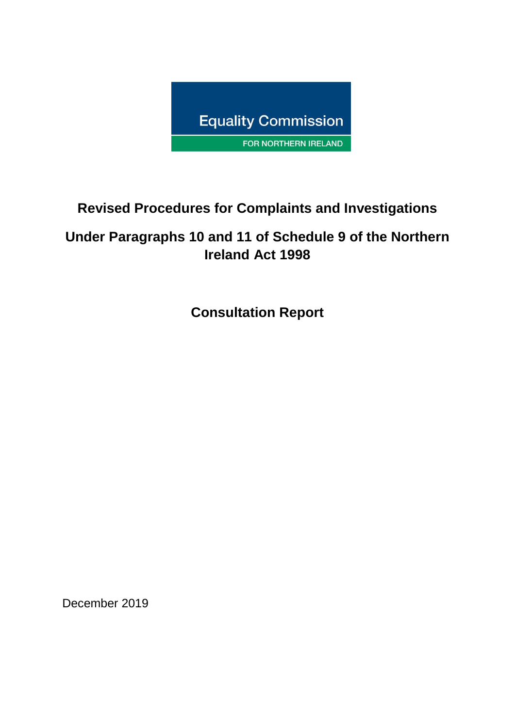

# **Revised Procedures for Complaints and Investigations**

# **Under Paragraphs 10 and 11 of Schedule 9 of the Northern Ireland Act 1998**

**Consultation Report**

December 2019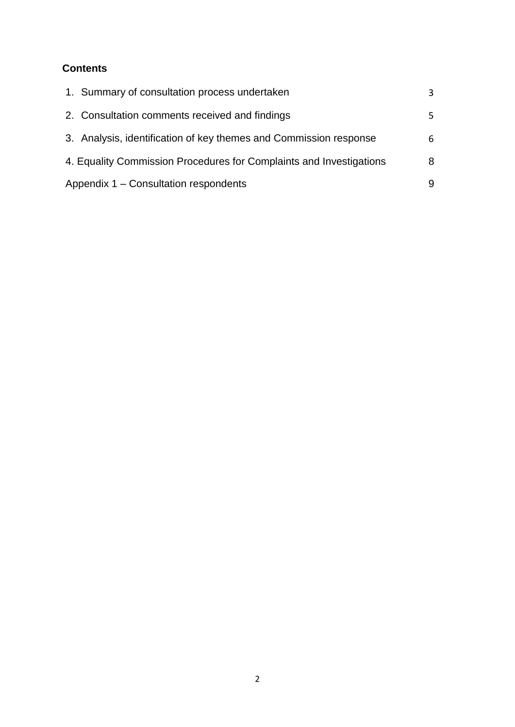### **Contents**

|                                       | 1. Summary of consultation process undertaken                       | 3  |
|---------------------------------------|---------------------------------------------------------------------|----|
|                                       | 2. Consultation comments received and findings                      | 5. |
|                                       | 3. Analysis, identification of key themes and Commission response   | 6  |
|                                       | 4. Equality Commission Procedures for Complaints and Investigations | 8  |
| Appendix 1 – Consultation respondents |                                                                     | 9  |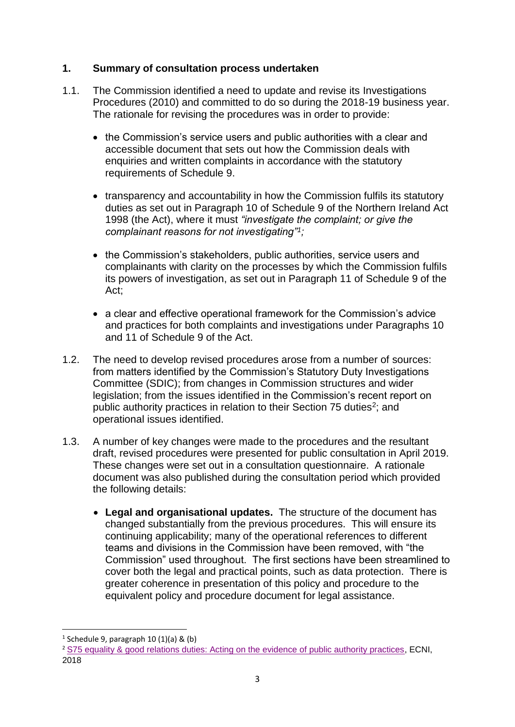#### **1. Summary of consultation process undertaken**

- 1.1. The Commission identified a need to update and revise its Investigations Procedures (2010) and committed to do so during the 2018-19 business year. The rationale for revising the procedures was in order to provide:
	- the Commission's service users and public authorities with a clear and accessible document that sets out how the Commission deals with enquiries and written complaints in accordance with the statutory requirements of Schedule 9.
	- transparency and accountability in how the Commission fulfils its statutory duties as set out in Paragraph 10 of Schedule 9 of the Northern Ireland Act 1998 (the Act), where it must *"investigate the complaint; or give the complainant reasons for not investigating"<sup>1</sup> ;*
	- the Commission's stakeholders, public authorities, service users and complainants with clarity on the processes by which the Commission fulfils its powers of investigation, as set out in Paragraph 11 of Schedule 9 of the Act;
	- a clear and effective operational framework for the Commission's advice and practices for both complaints and investigations under Paragraphs 10 and 11 of Schedule 9 of the Act.
- 1.2. The need to develop revised procedures arose from a number of sources: from matters identified by the Commission's Statutory Duty Investigations Committee (SDIC); from changes in Commission structures and wider legislation; from the issues identified in the Commission's recent report on public authority practices in relation to their Section 75 duties<sup>2</sup>; and operational issues identified.
- 1.3. A number of key changes were made to the procedures and the resultant draft, revised procedures were presented for public consultation in April 2019. These changes were set out in a consultation questionnaire. A rationale document was also published during the consultation period which provided the following details:
	- **Legal and organisational updates.** The structure of the document has changed substantially from the previous procedures. This will ensure its continuing applicability; many of the operational references to different teams and divisions in the Commission have been removed, with "the Commission" used throughout. The first sections have been streamlined to cover both the legal and practical points, such as data protection. There is greater coherence in presentation of this policy and procedure to the equivalent policy and procedure document for legal assistance.

**<sup>.</sup>** 1 Schedule 9, paragraph 10 (1)(a) & (b)

<sup>2</sup> S75 equality & [good relations duties: Acting on the evidence of public authority practices,](https://www.equalityni.org/ECNI/media/ECNI/Publications/Employers%20and%20Service%20Providers/Public%20Authorities/S75ActingOnEvidence-SummaryReport.pdf) ECNI, 2018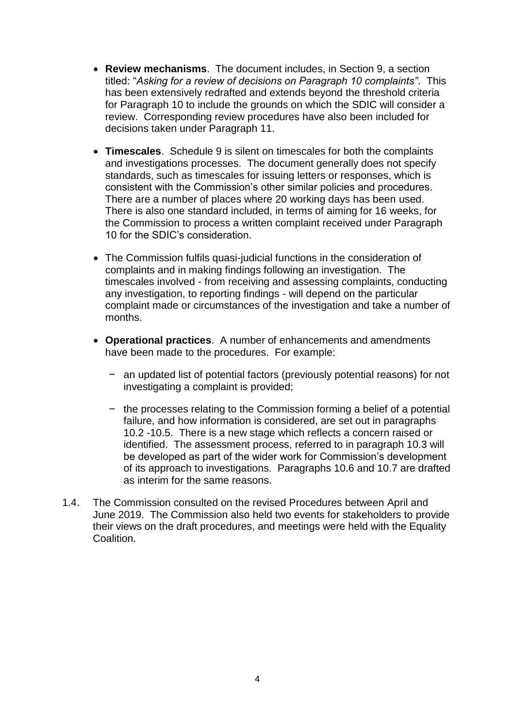- **Review mechanisms**. The document includes, in Section 9, a section titled: "*Asking for a review of decisions on Paragraph 10 complaints"*. This has been extensively redrafted and extends beyond the threshold criteria for Paragraph 10 to include the grounds on which the SDIC will consider a review. Corresponding review procedures have also been included for decisions taken under Paragraph 11.
- **Timescales**. Schedule 9 is silent on timescales for both the complaints and investigations processes. The document generally does not specify standards, such as timescales for issuing letters or responses, which is consistent with the Commission's other similar policies and procedures. There are a number of places where 20 working days has been used. There is also one standard included, in terms of aiming for 16 weeks, for the Commission to process a written complaint received under Paragraph 10 for the SDIC's consideration.
- The Commission fulfils quasi-judicial functions in the consideration of complaints and in making findings following an investigation. The timescales involved - from receiving and assessing complaints, conducting any investigation, to reporting findings - will depend on the particular complaint made or circumstances of the investigation and take a number of months.
- **Operational practices**. A number of enhancements and amendments have been made to the procedures. For example:
	- − an updated list of potential factors (previously potential reasons) for not investigating a complaint is provided;
	- − the processes relating to the Commission forming a belief of a potential failure, and how information is considered, are set out in paragraphs 10.2 -10.5. There is a new stage which reflects a concern raised or identified. The assessment process, referred to in paragraph 10.3 will be developed as part of the wider work for Commission's development of its approach to investigations. Paragraphs 10.6 and 10.7 are drafted as interim for the same reasons.
- 1.4. The Commission consulted on the revised Procedures between April and June 2019. The Commission also held two events for stakeholders to provide their views on the draft procedures, and meetings were held with the Equality **Coalition**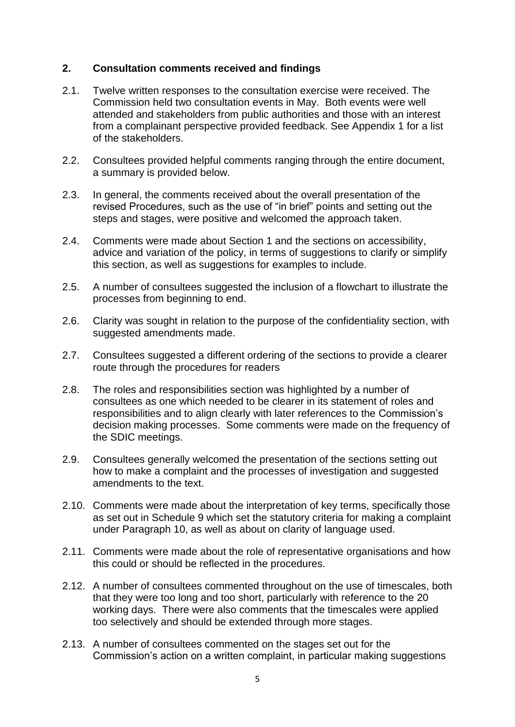#### **2. Consultation comments received and findings**

- 2.1. Twelve written responses to the consultation exercise were received. The Commission held two consultation events in May. Both events were well attended and stakeholders from public authorities and those with an interest from a complainant perspective provided feedback. See Appendix 1 for a list of the stakeholders.
- 2.2. Consultees provided helpful comments ranging through the entire document, a summary is provided below.
- 2.3. In general, the comments received about the overall presentation of the revised Procedures, such as the use of "in brief" points and setting out the steps and stages, were positive and welcomed the approach taken.
- 2.4. Comments were made about Section 1 and the sections on accessibility, advice and variation of the policy, in terms of suggestions to clarify or simplify this section, as well as suggestions for examples to include.
- 2.5. A number of consultees suggested the inclusion of a flowchart to illustrate the processes from beginning to end.
- 2.6. Clarity was sought in relation to the purpose of the confidentiality section, with suggested amendments made.
- 2.7. Consultees suggested a different ordering of the sections to provide a clearer route through the procedures for readers
- 2.8. The roles and responsibilities section was highlighted by a number of consultees as one which needed to be clearer in its statement of roles and responsibilities and to align clearly with later references to the Commission's decision making processes. Some comments were made on the frequency of the SDIC meetings.
- 2.9. Consultees generally welcomed the presentation of the sections setting out how to make a complaint and the processes of investigation and suggested amendments to the text.
- 2.10. Comments were made about the interpretation of key terms, specifically those as set out in Schedule 9 which set the statutory criteria for making a complaint under Paragraph 10, as well as about on clarity of language used.
- 2.11. Comments were made about the role of representative organisations and how this could or should be reflected in the procedures.
- 2.12. A number of consultees commented throughout on the use of timescales, both that they were too long and too short, particularly with reference to the 20 working days. There were also comments that the timescales were applied too selectively and should be extended through more stages.
- 2.13. A number of consultees commented on the stages set out for the Commission's action on a written complaint, in particular making suggestions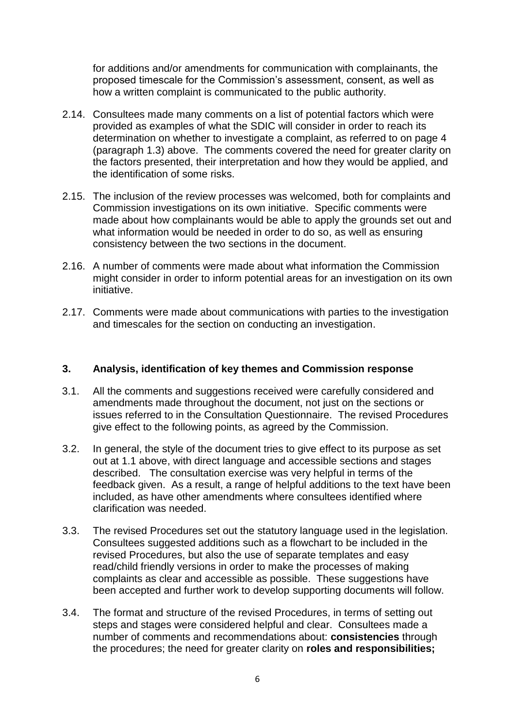for additions and/or amendments for communication with complainants, the proposed timescale for the Commission's assessment, consent, as well as how a written complaint is communicated to the public authority.

- 2.14. Consultees made many comments on a list of potential factors which were provided as examples of what the SDIC will consider in order to reach its determination on whether to investigate a complaint, as referred to on page 4 (paragraph 1.3) above. The comments covered the need for greater clarity on the factors presented, their interpretation and how they would be applied, and the identification of some risks.
- 2.15. The inclusion of the review processes was welcomed, both for complaints and Commission investigations on its own initiative. Specific comments were made about how complainants would be able to apply the grounds set out and what information would be needed in order to do so, as well as ensuring consistency between the two sections in the document.
- 2.16. A number of comments were made about what information the Commission might consider in order to inform potential areas for an investigation on its own initiative.
- 2.17. Comments were made about communications with parties to the investigation and timescales for the section on conducting an investigation.

#### **3. Analysis, identification of key themes and Commission response**

- 3.1. All the comments and suggestions received were carefully considered and amendments made throughout the document, not just on the sections or issues referred to in the Consultation Questionnaire. The revised Procedures give effect to the following points, as agreed by the Commission.
- 3.2. In general, the style of the document tries to give effect to its purpose as set out at 1.1 above, with direct language and accessible sections and stages described. The consultation exercise was very helpful in terms of the feedback given. As a result, a range of helpful additions to the text have been included, as have other amendments where consultees identified where clarification was needed.
- 3.3. The revised Procedures set out the statutory language used in the legislation. Consultees suggested additions such as a flowchart to be included in the revised Procedures, but also the use of separate templates and easy read/child friendly versions in order to make the processes of making complaints as clear and accessible as possible. These suggestions have been accepted and further work to develop supporting documents will follow.
- 3.4. The format and structure of the revised Procedures, in terms of setting out steps and stages were considered helpful and clear. Consultees made a number of comments and recommendations about: **consistencies** through the procedures; the need for greater clarity on **roles and responsibilities;**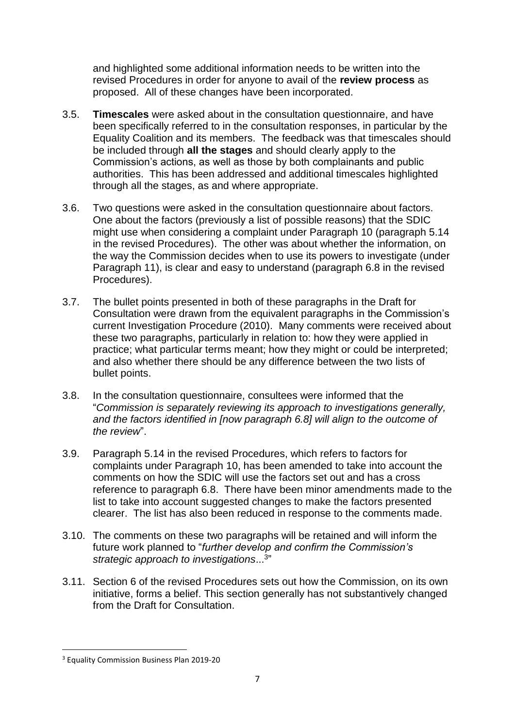and highlighted some additional information needs to be written into the revised Procedures in order for anyone to avail of the **review process** as proposed. All of these changes have been incorporated.

- 3.5. **Timescales** were asked about in the consultation questionnaire, and have been specifically referred to in the consultation responses, in particular by the Equality Coalition and its members. The feedback was that timescales should be included through **all the stages** and should clearly apply to the Commission's actions, as well as those by both complainants and public authorities. This has been addressed and additional timescales highlighted through all the stages, as and where appropriate.
- 3.6. Two questions were asked in the consultation questionnaire about factors. One about the factors (previously a list of possible reasons) that the SDIC might use when considering a complaint under Paragraph 10 (paragraph 5.14 in the revised Procedures). The other was about whether the information, on the way the Commission decides when to use its powers to investigate (under Paragraph 11), is clear and easy to understand (paragraph 6.8 in the revised Procedures).
- 3.7. The bullet points presented in both of these paragraphs in the Draft for Consultation were drawn from the equivalent paragraphs in the Commission's current Investigation Procedure (2010). Many comments were received about these two paragraphs, particularly in relation to: how they were applied in practice; what particular terms meant; how they might or could be interpreted; and also whether there should be any difference between the two lists of bullet points.
- 3.8. In the consultation questionnaire, consultees were informed that the "*Commission is separately reviewing its approach to investigations generally, and the factors identified in [now paragraph 6.8] will align to the outcome of the review*".
- 3.9. Paragraph 5.14 in the revised Procedures, which refers to factors for complaints under Paragraph 10, has been amended to take into account the comments on how the SDIC will use the factors set out and has a cross reference to paragraph 6.8. There have been minor amendments made to the list to take into account suggested changes to make the factors presented clearer. The list has also been reduced in response to the comments made.
- 3.10. The comments on these two paragraphs will be retained and will inform the future work planned to "*further develop and confirm the Commission's strategic approach to investigations*... 3 "
- 3.11. Section 6 of the revised Procedures sets out how the Commission, on its own initiative, forms a belief. This section generally has not substantively changed from the Draft for Consultation.

**.** 

<sup>3</sup> Equality Commission Business Plan 2019-20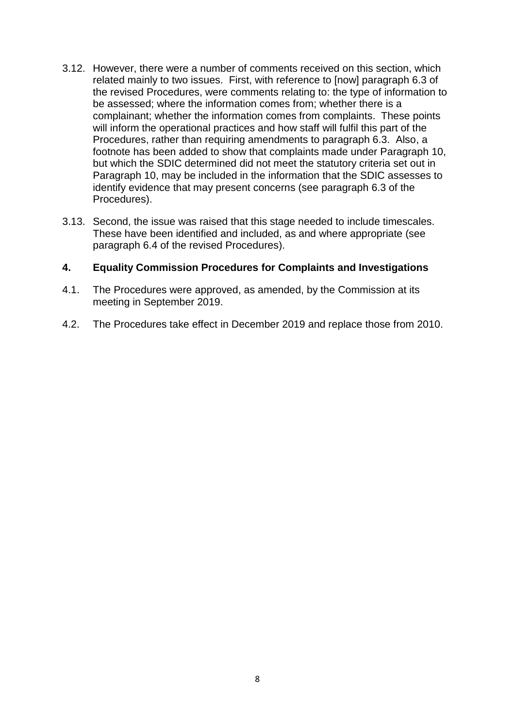- 3.12. However, there were a number of comments received on this section, which related mainly to two issues. First, with reference to [now] paragraph 6.3 of the revised Procedures, were comments relating to: the type of information to be assessed; where the information comes from; whether there is a complainant; whether the information comes from complaints. These points will inform the operational practices and how staff will fulfil this part of the Procedures, rather than requiring amendments to paragraph 6.3. Also, a footnote has been added to show that complaints made under Paragraph 10, but which the SDIC determined did not meet the statutory criteria set out in Paragraph 10, may be included in the information that the SDIC assesses to identify evidence that may present concerns (see paragraph 6.3 of the Procedures).
- 3.13. Second, the issue was raised that this stage needed to include timescales. These have been identified and included, as and where appropriate (see paragraph 6.4 of the revised Procedures).

#### **4. Equality Commission Procedures for Complaints and Investigations**

- 4.1. The Procedures were approved, as amended, by the Commission at its meeting in September 2019.
- 4.2. The Procedures take effect in December 2019 and replace those from 2010.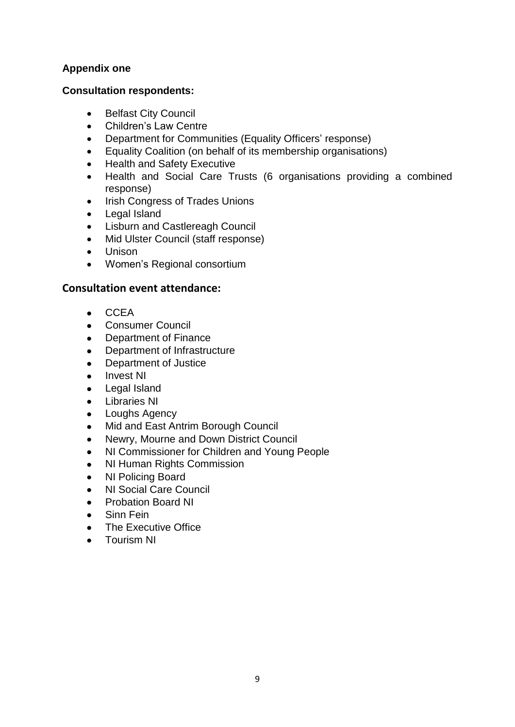### **Appendix one**

#### **Consultation respondents:**

- Belfast City Council
- Children's Law Centre
- Department for Communities (Equality Officers' response)
- Equality Coalition (on behalf of its membership organisations)
- Health and Safety Executive
- Health and Social Care Trusts (6 organisations providing a combined response)
- Irish Congress of Trades Unions
- Legal Island
- Lisburn and Castlereagh Council
- Mid Ulster Council (staff response)
- Unison
- Women's Regional consortium

#### **Consultation event attendance:**

- CCEA
- Consumer Council
- Department of Finance
- Department of Infrastructure
- Department of Justice
- Invest NI
- Legal Island
- Libraries NI
- Loughs Agency
- Mid and East Antrim Borough Council
- Newry, Mourne and Down District Council
- NI Commissioner for Children and Young People
- NI Human Rights Commission
- NI Policing Board
- NI Social Care Council
- Probation Board NI
- Sinn Fein
- The Executive Office
- Tourism NI